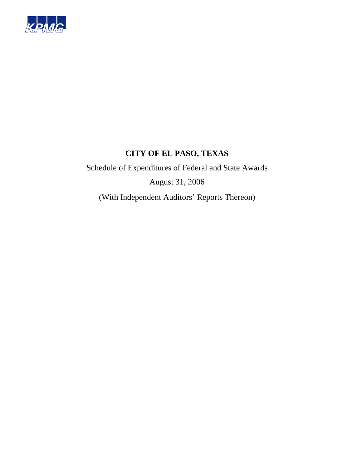

Schedule of Expenditures of Federal and State Awards August 31, 2006

(With Independent Auditors' Reports Thereon)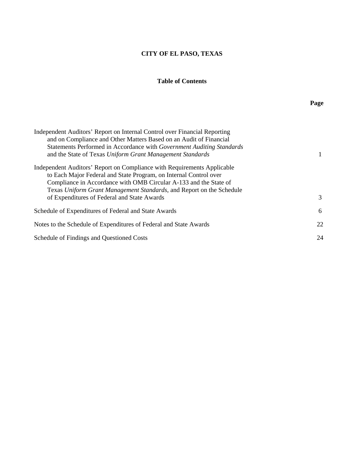### **Table of Contents**

| Independent Auditors' Report on Internal Control over Financial Reporting<br>and on Compliance and Other Matters Based on an Audit of Financial<br>Statements Performed in Accordance with Government Auditing Standards<br>and the State of Texas Uniform Grant Management Standards     |    |
|-------------------------------------------------------------------------------------------------------------------------------------------------------------------------------------------------------------------------------------------------------------------------------------------|----|
| Independent Auditors' Report on Compliance with Requirements Applicable<br>to Each Major Federal and State Program, on Internal Control over<br>Compliance in Accordance with OMB Circular A-133 and the State of<br>Texas Uniform Grant Management Standards, and Report on the Schedule |    |
| of Expenditures of Federal and State Awards                                                                                                                                                                                                                                               | 3  |
| Schedule of Expenditures of Federal and State Awards                                                                                                                                                                                                                                      | 6  |
| Notes to the Schedule of Expenditures of Federal and State Awards                                                                                                                                                                                                                         | 22 |
| Schedule of Findings and Questioned Costs                                                                                                                                                                                                                                                 | 24 |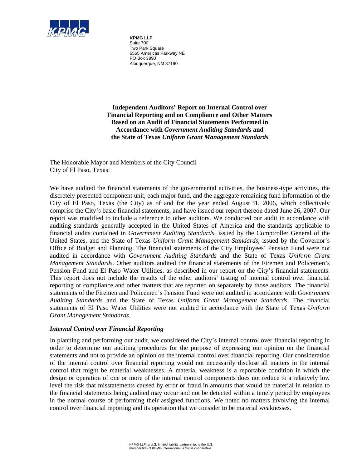

**KPMG LLP** Suite 700 Two Park Square 6565 Americas Parkway NE PO Box 3990 Albuquerque, NM 87190

**Independent Auditors' Report on Internal Control over Financial Reporting and on Compliance and Other Matters Based on an Audit of Financial Statements Performed in Accordance with** *Government Auditing Standards* **and the State of Texas** *Uniform Grant Management Standards* 

The Honorable Mayor and Members of the City Council City of El Paso, Texas:

We have audited the financial statements of the governmental activities, the business-type activities, the discretely presented component unit, each major fund, and the aggregate remaining fund information of the City of El Paso, Texas (the City) as of and for the year ended August 31, 2006, which collectively comprise the City's basic financial statements, and have issued our report thereon dated June 26, 2007. Our report was modified to include a reference to other auditors. We conducted our audit in accordance with auditing standards generally accepted in the United States of America and the standards applicable to financial audits contained in *Government Auditing Standards*, issued by the Comptroller General of the United States, and the State of Texas *Uniform Grant Management Standards*, issued by the Governor's Office of Budget and Planning. The financial statements of the City Employees' Pension Fund were not audited in accordance with *Government Auditing Standards* and the State of Texas *Uniform Grant Management Standards*. Other auditors audited the financial statements of the Firemen and Policemen's Pension Fund and El Paso Water Utilities, as described in our report on the City's financial statements. This report does not include the results of the other auditors' testing of internal control over financial reporting or compliance and other matters that are reported on separately by those auditors. The financial statements of the Firemen and Policemen's Pension Fund were not audited in accordance with *Government Auditing Standards* and the State of Texas *Uniform Grant Management Standards*. The financial statements of El Paso Water Utilities were not audited in accordance with the State of Texas *Uniform Grant Management Standards*.

#### *Internal Control over Financial Reporting*

In planning and performing our audit, we considered the City's internal control over financial reporting in order to determine our auditing procedures for the purpose of expressing our opinion on the financial statements and not to provide an opinion on the internal control over financial reporting. Our consideration of the internal control over financial reporting would not necessarily disclose all matters in the internal control that might be material weaknesses. A material weakness is a reportable condition in which the design or operation of one or more of the internal control components does not reduce to a relatively low level the risk that misstatements caused by error or fraud in amounts that would be material in relation to the financial statements being audited may occur and not be detected within a timely period by employees in the normal course of performing their assigned functions. We noted no matters involving the internal control over financial reporting and its operation that we consider to be material weaknesses.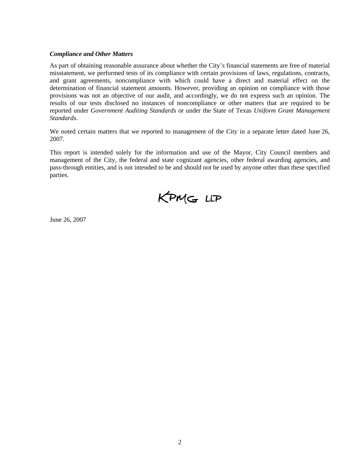#### *Compliance and Other Matters*

As part of obtaining reasonable assurance about whether the City's financial statements are free of material misstatement, we performed tests of its compliance with certain provisions of laws, regulations, contracts, and grant agreements, noncompliance with which could have a direct and material effect on the determination of financial statement amounts. However, providing an opinion on compliance with those provisions was not an objective of our audit, and accordingly, we do not express such an opinion. The results of our tests disclosed no instances of noncompliance or other matters that are required to be reported under *Government Auditing Standards* or under the State of Texas *Uniform Grant Management Standards*.

We noted certain matters that we reported to management of the City in a separate letter dated June 26, 2007.

This report is intended solely for the information and use of the Mayor, City Council members and management of the City, the federal and state cognizant agencies, other federal awarding agencies, and pass-through entities, and is not intended to be and should not be used by anyone other than these specified parties.

KPMG LLP

June 26, 2007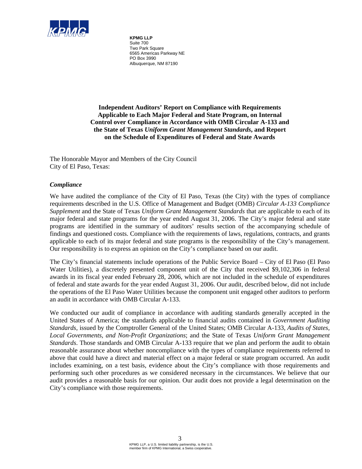

**KPMG LLP** Suite 700 Two Park Square 6565 Americas Parkway NE PO Box 3990 Albuquerque, NM 87190

**Independent Auditors' Report on Compliance with Requirements Applicable to Each Major Federal and State Program, on Internal Control over Compliance in Accordance with OMB Circular A-133 and the State of Texas** *Uniform Grant Management Standards***, and Report on the Schedule of Expenditures of Federal and State Awards** 

The Honorable Mayor and Members of the City Council City of El Paso, Texas:

#### *Compliance*

We have audited the compliance of the City of El Paso, Texas (the City) with the types of compliance requirements described in the U.S. Office of Management and Budget (OMB) *Circular A-133 Compliance Supplement* and the State of Texas *Uniform Grant Management Standards* that are applicable to each of its major federal and state programs for the year ended August 31, 2006. The City's major federal and state programs are identified in the summary of auditors' results section of the accompanying schedule of findings and questioned costs. Compliance with the requirements of laws, regulations, contracts, and grants applicable to each of its major federal and state programs is the responsibility of the City's management. Our responsibility is to express an opinion on the City's compliance based on our audit.

The City's financial statements include operations of the Public Service Board – City of El Paso (El Paso Water Utilities), a discretely presented component unit of the City that received \$9,102,306 in federal awards in its fiscal year ended February 28, 2006, which are not included in the schedule of expenditures of federal and state awards for the year ended August 31, 2006. Our audit, described below, did not include the operations of the El Paso Water Utilities because the component unit engaged other auditors to perform an audit in accordance with OMB Circular A-133.

We conducted our audit of compliance in accordance with auditing standards generally accepted in the United States of America; the standards applicable to financial audits contained in *Government Auditing Standards,* issued by the Comptroller General of the United States; OMB Circular A-133, *Audits of States, Local Governments, and Non-Profit Organizations*; and the State of Texas *Uniform Grant Management Standards*. Those standards and OMB Circular A-133 require that we plan and perform the audit to obtain reasonable assurance about whether noncompliance with the types of compliance requirements referred to above that could have a direct and material effect on a major federal or state program occurred. An audit includes examining, on a test basis, evidence about the City's compliance with those requirements and performing such other procedures as we considered necessary in the circumstances. We believe that our audit provides a reasonable basis for our opinion. Our audit does not provide a legal determination on the City's compliance with those requirements.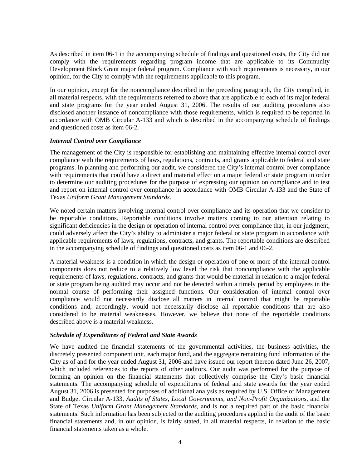As described in item 06-1 in the accompanying schedule of findings and questioned costs, the City did not comply with the requirements regarding program income that are applicable to its Community Development Block Grant major federal program. Compliance with such requirements is necessary, in our opinion, for the City to comply with the requirements applicable to this program.

In our opinion, except for the noncompliance described in the preceding paragraph, the City complied, in all material respects, with the requirements referred to above that are applicable to each of its major federal and state programs for the year ended August 31, 2006. The results of our auditing procedures also disclosed another instance of noncompliance with those requirements, which is required to be reported in accordance with OMB Circular A-133 and which is described in the accompanying schedule of findings and questioned costs as item 06-2.

#### *Internal Control over Compliance*

The management of the City is responsible for establishing and maintaining effective internal control over compliance with the requirements of laws, regulations, contracts, and grants applicable to federal and state programs. In planning and performing our audit, we considered the City's internal control over compliance with requirements that could have a direct and material effect on a major federal or state program in order to determine our auditing procedures for the purpose of expressing our opinion on compliance and to test and report on internal control over compliance in accordance with OMB Circular A-133 and the State of Texas *Uniform Grant Management Standards*.

We noted certain matters involving internal control over compliance and its operation that we consider to be reportable conditions. Reportable conditions involve matters coming to our attention relating to significant deficiencies in the design or operation of internal control over compliance that, in our judgment, could adversely affect the City's ability to administer a major federal or state program in accordance with applicable requirements of laws, regulations, contracts, and grants. The reportable conditions are described in the accompanying schedule of findings and questioned costs as item 06-1 and 06-2.

A material weakness is a condition in which the design or operation of one or more of the internal control components does not reduce to a relatively low level the risk that noncompliance with the applicable requirements of laws, regulations, contracts, and grants that would be material in relation to a major federal or state program being audited may occur and not be detected within a timely period by employees in the normal course of performing their assigned functions. Our consideration of internal control over compliance would not necessarily disclose all matters in internal control that might be reportable conditions and, accordingly, would not necessarily disclose all reportable conditions that are also considered to be material weaknesses. However, we believe that none of the reportable conditions described above is a material weakness.

#### *Schedule of Expenditures of Federal and State Awards*

We have audited the financial statements of the governmental activities, the business activities, the discretely presented component unit, each major fund, and the aggregate remaining fund information of the City as of and for the year ended August 31, 2006 and have issued our report thereon dated June 26, 2007, which included references to the reports of other auditors. Our audit was performed for the purpose of forming an opinion on the financial statements that collectively comprise the City's basic financial statements. The accompanying schedule of expenditures of federal and state awards for the year ended August 31, 2006 is presented for purposes of additional analysis as required by U.S. Office of Management and Budget Circular A-133, *Audits of States, Local Governments, and Non-Profit Organizations*, and the State of Texas *Uniform Grant Management Standards*, and is not a required part of the basic financial statements. Such information has been subjected to the auditing procedures applied in the audit of the basic financial statements and, in our opinion, is fairly stated, in all material respects, in relation to the basic financial statements taken as a whole.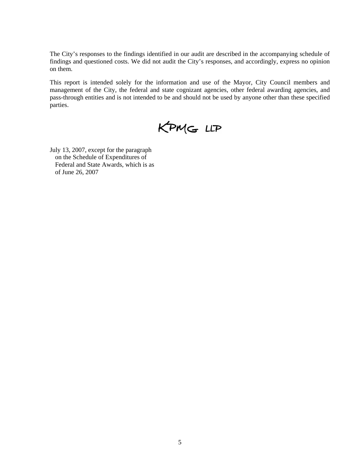The City's responses to the findings identified in our audit are described in the accompanying schedule of findings and questioned costs. We did not audit the City's responses, and accordingly, express no opinion on them.

This report is intended solely for the information and use of the Mayor, City Council members and management of the City, the federal and state cognizant agencies, other federal awarding agencies, and pass-through entities and is not intended to be and should not be used by anyone other than these specified parties.



July 13, 2007, except for the paragraph on the Schedule of Expenditures of Federal and State Awards, which is as of June 26, 2007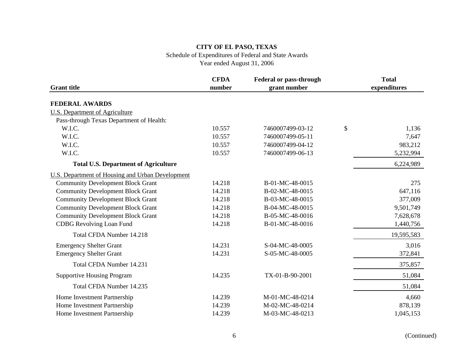Schedule of Expenditures of Federal and State Awards

|                                                         | <b>CFDA</b> | <b>Federal or pass-through</b> | <b>Total</b> |
|---------------------------------------------------------|-------------|--------------------------------|--------------|
| <b>Grant title</b>                                      | number      | grant number                   | expenditures |
| <b>FEDERAL AWARDS</b>                                   |             |                                |              |
| <b>U.S. Department of Agriculture</b>                   |             |                                |              |
| Pass-through Texas Department of Health:                |             |                                |              |
| W.I.C.                                                  | 10.557      | 7460007499-03-12               | \$<br>1,136  |
| W.I.C.                                                  | 10.557      | 7460007499-05-11               | 7,647        |
| W.I.C.                                                  | 10.557      | 7460007499-04-12               | 983,212      |
| W.I.C.                                                  | 10.557      | 7460007499-06-13               | 5,232,994    |
| <b>Total U.S. Department of Agriculture</b>             |             |                                | 6,224,989    |
| <b>U.S. Department of Housing and Urban Development</b> |             |                                |              |
| <b>Community Development Block Grant</b>                | 14.218      | B-01-MC-48-0015                | 275          |
| <b>Community Development Block Grant</b>                | 14.218      | B-02-MC-48-0015                | 647,116      |
| <b>Community Development Block Grant</b>                | 14.218      | B-03-MC-48-0015                | 377,009      |
| <b>Community Development Block Grant</b>                | 14.218      | B-04-MC-48-0015                | 9,501,749    |
| <b>Community Development Block Grant</b>                | 14.218      | B-05-MC-48-0016                | 7,628,678    |
| <b>CDBG</b> Revolving Loan Fund                         | 14.218      | B-01-MC-48-0016                | 1,440,756    |
| Total CFDA Number 14.218                                |             |                                | 19,595,583   |
| <b>Emergency Shelter Grant</b>                          | 14.231      | S-04-MC-48-0005                | 3,016        |
| <b>Emergency Shelter Grant</b>                          | 14.231      | S-05-MC-48-0005                | 372,841      |
| Total CFDA Number 14.231                                |             |                                | 375,857      |
| <b>Supportive Housing Program</b>                       | 14.235      | TX-01-B-90-2001                | 51,084       |
| Total CFDA Number 14.235                                |             |                                | 51,084       |
| Home Investment Partnership                             | 14.239      | M-01-MC-48-0214                | 4,660        |
| Home Investment Partnership                             | 14.239      | M-02-MC-48-0214                | 878,139      |
| Home Investment Partnership                             | 14.239      | M-03-MC-48-0213                | 1,045,153    |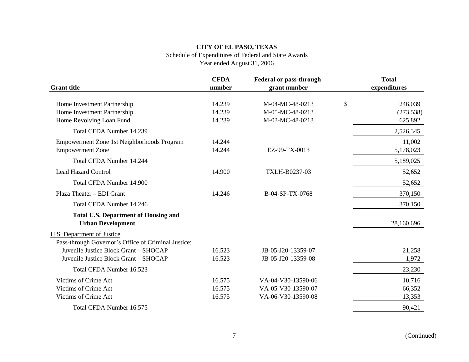#### Schedule of Expenditures of Federal and State Awards

|                                                                                | <b>CFDA</b>      | <b>Federal or pass-through</b>           |              | <b>Total</b>    |
|--------------------------------------------------------------------------------|------------------|------------------------------------------|--------------|-----------------|
| <b>Grant</b> title                                                             | number           | grant number                             |              | expenditures    |
| Home Investment Partnership                                                    | 14.239           | M-04-MC-48-0213                          | $\mathbb{S}$ | 246,039         |
| Home Investment Partnership                                                    | 14.239           | M-05-MC-48-0213                          |              | (273, 538)      |
| Home Revolving Loan Fund                                                       | 14.239           | M-03-MC-48-0213                          |              | 625,892         |
| Total CFDA Number 14.239                                                       |                  |                                          |              | 2,526,345       |
| Empowerment Zone 1st Neighborhoods Program                                     | 14.244           |                                          |              | 11,002          |
| <b>Empowerment Zone</b>                                                        | 14.244           | EZ-99-TX-0013                            |              | 5,178,023       |
| <b>Total CFDA Number 14.244</b>                                                |                  |                                          |              | 5,189,025       |
| <b>Lead Hazard Control</b>                                                     | 14.900           | TXLH-B0237-03                            |              | 52,652          |
| Total CFDA Number 14.900                                                       |                  |                                          |              | 52,652          |
| Plaza Theater - EDI Grant                                                      | 14.246           | B-04-SP-TX-0768                          |              | 370,150         |
| Total CFDA Number 14.246                                                       |                  |                                          |              | 370,150         |
| <b>Total U.S. Department of Housing and</b>                                    |                  |                                          |              |                 |
| <b>Urban Development</b>                                                       |                  |                                          |              | 28,160,696      |
| <b>U.S. Department of Justice</b>                                              |                  |                                          |              |                 |
| Pass-through Governor's Office of Criminal Justice:                            |                  |                                          |              |                 |
| Juvenile Justice Block Grant - SHOCAP<br>Juvenile Justice Block Grant - SHOCAP | 16.523<br>16.523 | JB-05-J20-13359-07<br>JB-05-J20-13359-08 |              | 21,258<br>1,972 |
|                                                                                |                  |                                          |              |                 |
| Total CFDA Number 16.523                                                       |                  |                                          |              | 23,230          |
| Victims of Crime Act                                                           | 16.575           | VA-04-V30-13590-06                       |              | 10,716          |
| Victims of Crime Act                                                           | 16.575           | VA-05-V30-13590-07                       |              | 66,352          |
| Victims of Crime Act                                                           | 16.575           | VA-06-V30-13590-08                       |              | 13,353          |
| Total CFDA Number 16.575                                                       |                  |                                          |              | 90,421          |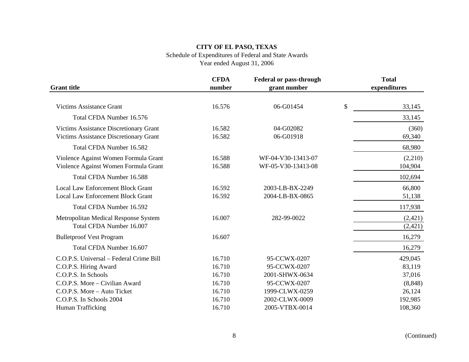#### Schedule of Expenditures of Federal and State Awards

|                                                                                         | <b>CFDA</b>      | <b>Federal or pass-through</b>           | <b>Total</b>         |
|-----------------------------------------------------------------------------------------|------------------|------------------------------------------|----------------------|
| <b>Grant title</b>                                                                      | number           | grant number                             | expenditures         |
| <b>Victims Assistance Grant</b>                                                         | 16.576           | 06-G01454                                | \$<br>33,145         |
| Total CFDA Number 16.576                                                                |                  |                                          | 33,145               |
| Victims Assistance Discretionary Grant<br><b>Victims Assistance Discretionary Grant</b> | 16.582<br>16.582 | 04-G02082<br>06-G01918                   | (360)<br>69,340      |
| Total CFDA Number 16.582                                                                |                  |                                          | 68,980               |
| Violence Against Women Formula Grant<br>Violence Against Women Formula Grant            | 16.588<br>16.588 | WF-04-V30-13413-07<br>WF-05-V30-13413-08 | (2,210)<br>104,904   |
| Total CFDA Number 16.588                                                                |                  |                                          | 102,694              |
| <b>Local Law Enforcement Block Grant</b><br><b>Local Law Enforcement Block Grant</b>    | 16.592<br>16.592 | 2003-LB-BX-2249<br>2004-LB-BX-0865       | 66,800<br>51,138     |
| Total CFDA Number 16.592                                                                |                  |                                          | 117,938              |
| Metropolitan Medical Response System<br>Total CFDA Number 16.007                        | 16.007           | 282-99-0022                              | (2, 421)<br>(2, 421) |
| <b>Bulletproof Vest Program</b>                                                         | 16.607           |                                          | 16,279               |
| Total CFDA Number 16.607                                                                |                  |                                          | 16,279               |
| C.O.P.S. Universal - Federal Crime Bill<br>C.O.P.S. Hiring Award                        | 16.710<br>16.710 | 95-CCWX-0207<br>95-CCWX-0207             | 429,045<br>83,119    |
| C.O.P.S. In Schools                                                                     | 16.710           | 2001-SHWX-0634                           | 37,016               |
| C.O.P.S. More - Civilian Award                                                          | 16.710           | 95-CCWX-0207                             | (8, 848)             |
| C.O.P.S. More - Auto Ticket                                                             | 16.710           | 1999-CLWX-0259                           | 26,124               |
| C.O.P.S. In Schools 2004                                                                | 16.710           | 2002-CLWX-0009                           | 192,985              |
| Human Trafficking                                                                       | 16.710           | 2005-VTBX-0014                           | 108,360              |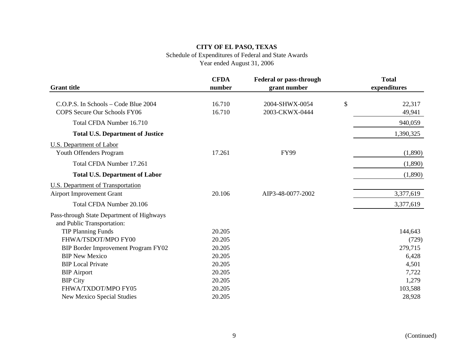# Schedule of Expenditures of Federal and State Awards

|                                                                         | <b>CFDA</b>      | <b>Federal or pass-through</b>   | <b>Total</b>           |
|-------------------------------------------------------------------------|------------------|----------------------------------|------------------------|
| <b>Grant title</b>                                                      | number           | grant number                     | expenditures           |
| C.O.P.S. In Schools – Code Blue 2004<br>COPS Secure Our Schools FY06    | 16.710<br>16.710 | 2004-SHWX-0054<br>2003-CKWX-0444 | \$<br>22,317<br>49,941 |
| Total CFDA Number 16.710                                                |                  |                                  | 940,059                |
| <b>Total U.S. Department of Justice</b>                                 |                  |                                  | 1,390,325              |
| U.S. Department of Labor<br>Youth Offenders Program                     | 17.261           | <b>FY99</b>                      | (1,890)                |
| Total CFDA Number 17.261                                                |                  |                                  | (1,890)                |
| <b>Total U.S. Department of Labor</b>                                   |                  |                                  | (1,890)                |
| <b>U.S. Department of Transportation</b>                                |                  |                                  |                        |
| <b>Airport Improvement Grant</b>                                        | 20.106           | AIP3-48-0077-2002                | 3,377,619              |
| Total CFDA Number 20.106                                                |                  |                                  | 3,377,619              |
| Pass-through State Department of Highways<br>and Public Transportation: |                  |                                  |                        |
| <b>TIP Planning Funds</b>                                               | 20.205           |                                  | 144,643                |
| FHWA/TSDOT/MPO FY00                                                     | 20.205           |                                  | (729)                  |
| BIP Border Improvement Program FY02                                     | 20.205           |                                  | 279,715                |
| <b>BIP New Mexico</b>                                                   | 20.205           |                                  | 6,428                  |
| <b>BIP</b> Local Private                                                | 20.205           |                                  | 4,501                  |
| <b>BIP</b> Airport                                                      | 20.205           |                                  | 7,722                  |
| <b>BIP City</b>                                                         | 20.205           |                                  | 1,279                  |
| FHWA/TXDOT/MPO FY05                                                     | 20.205           |                                  | 103,588                |
| <b>New Mexico Special Studies</b>                                       | 20.205           |                                  | 28,928                 |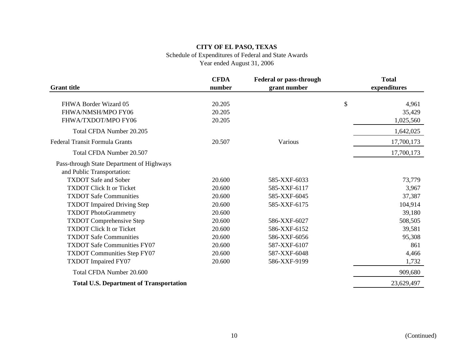# Schedule of Expenditures of Federal and State Awards

|                                                | <b>CFDA</b> | <b>Federal or pass-through</b> | <b>Total</b> |
|------------------------------------------------|-------------|--------------------------------|--------------|
| <b>Grant title</b>                             | number      | grant number                   | expenditures |
| FHWA Border Wizard 05                          | 20.205      |                                | \$<br>4,961  |
| FHWA/NMSH/MPO FY06                             | 20.205      |                                |              |
|                                                |             |                                | 35,429       |
| FHWA/TXDOT/MPO FY06                            | 20.205      |                                | 1,025,560    |
| Total CFDA Number 20.205                       |             |                                | 1,642,025    |
| <b>Federal Transit Formula Grants</b>          | 20.507      | Various                        | 17,700,173   |
| Total CFDA Number 20.507                       |             |                                | 17,700,173   |
| Pass-through State Department of Highways      |             |                                |              |
| and Public Transportation:                     |             |                                |              |
| <b>TXDOT</b> Safe and Sober                    | 20.600      | 585-XXF-6033                   | 73,779       |
| <b>TXDOT Click It or Ticket</b>                | 20.600      | 585-XXF-6117                   | 3,967        |
| <b>TXDOT Safe Communities</b>                  | 20.600      | 585-XXF-6045                   | 37,387       |
| <b>TXDOT</b> Impaired Driving Step             | 20.600      | 585-XXF-6175                   | 104,914      |
| <b>TXDOT</b> PhotoGrammetry                    | 20.600      |                                | 39,180       |
| <b>TXDOT</b> Comprehensive Step                | 20.600      | 586-XXF-6027                   | 508,505      |
| <b>TXDOT Click It or Ticket</b>                | 20.600      | 586-XXF-6152                   | 39,581       |
| <b>TXDOT Safe Communities</b>                  | 20.600      | 586-XXF-6056                   | 95,308       |
| <b>TXDOT Safe Communities FY07</b>             | 20.600      | 587-XXF-6107                   | 861          |
| <b>TXDOT Communities Step FY07</b>             | 20.600      | 587-XXF-6048                   | 4,466        |
| <b>TXDOT</b> Impaired FY07                     | 20.600      | 586-XXF-9199                   | 1,732        |
| Total CFDA Number 20.600                       |             |                                | 909,680      |
| <b>Total U.S. Department of Transportation</b> |             |                                | 23,629,497   |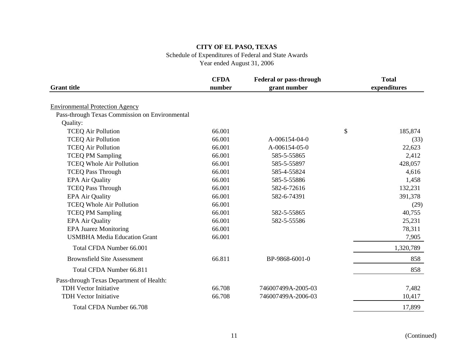# Schedule of Expenditures of Federal and State Awards

|                                                | <b>CFDA</b> | <b>Federal or pass-through</b> | <b>Total</b>  |
|------------------------------------------------|-------------|--------------------------------|---------------|
| <b>Grant title</b>                             | number      | grant number                   | expenditures  |
| <b>Environmental Protection Agency</b>         |             |                                |               |
| Pass-through Texas Commission on Environmental |             |                                |               |
| Quality:                                       |             |                                |               |
| <b>TCEQ Air Pollution</b>                      | 66.001      |                                | \$<br>185,874 |
| <b>TCEQ Air Pollution</b>                      | 66.001      | A-006154-04-0                  | (33)          |
| <b>TCEQ Air Pollution</b>                      | 66.001      | A-006154-05-0                  | 22,623        |
| <b>TCEQ PM Sampling</b>                        | 66.001      | 585-5-55865                    | 2,412         |
| <b>TCEQ Whole Air Pollution</b>                | 66.001      | 585-5-55897                    | 428,057       |
| <b>TCEQ Pass Through</b>                       | 66.001      | 585-4-55824                    | 4,616         |
| <b>EPA Air Quality</b>                         | 66.001      | 585-5-55886                    | 1,458         |
| <b>TCEQ Pass Through</b>                       | 66.001      | 582-6-72616                    | 132,231       |
| <b>EPA Air Quality</b>                         | 66.001      | 582-6-74391                    | 391,378       |
| <b>TCEQ Whole Air Pollution</b>                | 66.001      |                                | (29)          |
| <b>TCEQ PM Sampling</b>                        | 66.001      | 582-5-55865                    | 40,755        |
| <b>EPA Air Quality</b>                         | 66.001      | 582-5-55586                    | 25,231        |
| <b>EPA Juarez Monitoring</b>                   | 66.001      |                                | 78,311        |
| <b>USMBHA Media Education Grant</b>            | 66.001      |                                | 7,905         |
| Total CFDA Number 66.001                       |             |                                | 1,320,789     |
| <b>Brownsfield Site Assessment</b>             | 66.811      | BP-9868-6001-0                 | 858           |
| Total CFDA Number 66.811                       |             |                                | 858           |
| Pass-through Texas Department of Health:       |             |                                |               |
| <b>TDH Vector Initiative</b>                   | 66.708      | 746007499A-2005-03             | 7,482         |
| TDH Vector Initiative                          | 66.708      | 746007499A-2006-03             | 10,417        |
| Total CFDA Number 66.708                       |             |                                | 17,899        |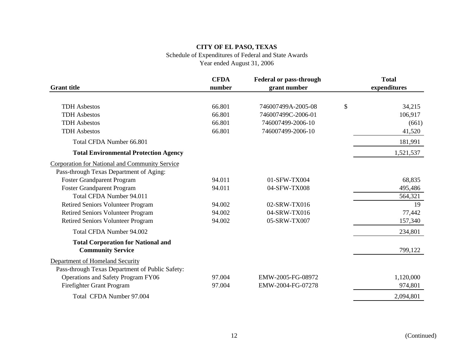# Schedule of Expenditures of Federal and State Awards

|                                                 | <b>CFDA</b> | <b>Federal or pass-through</b> | <b>Total</b> |
|-------------------------------------------------|-------------|--------------------------------|--------------|
| <b>Grant title</b>                              | number      | grant number                   | expenditures |
|                                                 |             |                                |              |
| <b>TDH</b> Asbestos                             | 66.801      | 746007499A-2005-08             | \$<br>34,215 |
| <b>TDH</b> Asbestos                             | 66.801      | 746007499C-2006-01             | 106,917      |
| <b>TDH</b> Asbestos                             | 66.801      | 746007499-2006-10              | (661)        |
| <b>TDH</b> Asbestos                             | 66.801      | 746007499-2006-10              | 41,520       |
| Total CFDA Number 66.801                        |             |                                | 181,991      |
| <b>Total Environmental Protection Agency</b>    |             |                                | 1,521,537    |
| Corporation for National and Community Service  |             |                                |              |
| Pass-through Texas Department of Aging:         |             |                                |              |
| Foster Grandparent Program                      | 94.011      | 01-SFW-TX004                   | 68,835       |
| <b>Foster Grandparent Program</b>               | 94.011      | 04-SFW-TX008                   | 495,486      |
| Total CFDA Number 94.011                        |             |                                | 564,321      |
| <b>Retired Seniors Volunteer Program</b>        | 94.002      | 02-SRW-TX016                   | 19           |
| <b>Retired Seniors Volunteer Program</b>        | 94.002      | 04-SRW-TX016                   | 77,442       |
| <b>Retired Seniors Volunteer Program</b>        | 94.002      | 05-SRW-TX007                   | 157,340      |
| Total CFDA Number 94.002                        |             |                                | 234,801      |
| <b>Total Corporation for National and</b>       |             |                                |              |
| <b>Community Service</b>                        |             |                                | 799,122      |
| Department of Homeland Security                 |             |                                |              |
| Pass-through Texas Department of Public Safety: |             |                                |              |
| Operations and Safety Program FY06              | 97.004      | EMW-2005-FG-08972              | 1,120,000    |
| Firefighter Grant Program                       | 97.004      | EMW-2004-FG-07278              | 974,801      |
| Total CFDA Number 97.004                        |             |                                | 2,094,801    |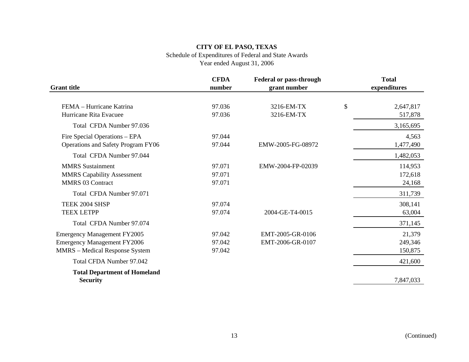# Schedule of Expenditures of Federal and State Awards

| <b>Grant title</b>                                                                                                | <b>CFDA</b><br>number      | <b>Federal or pass-through</b><br>grant number | <b>Total</b><br>expenditures |
|-------------------------------------------------------------------------------------------------------------------|----------------------------|------------------------------------------------|------------------------------|
| FEMA - Hurricane Katrina<br>Hurricane Rita Evacuee                                                                | 97.036<br>97.036           | 3216-EM-TX<br>3216-EM-TX                       | \$<br>2,647,817<br>517,878   |
| Total CFDA Number 97.036                                                                                          |                            |                                                | 3,165,695                    |
| Fire Special Operations – EPA<br>Operations and Safety Program FY06                                               | 97.044<br>97.044           | EMW-2005-FG-08972                              | 4,563<br>1,477,490           |
| Total CFDA Number 97.044                                                                                          |                            |                                                | 1,482,053                    |
| <b>MMRS</b> Sustainment<br><b>MMRS Capability Assessment</b><br><b>MMRS 03 Contract</b>                           | 97.071<br>97.071<br>97.071 | EMW-2004-FP-02039                              | 114,953<br>172,618<br>24,168 |
| Total CFDA Number 97.071                                                                                          |                            |                                                | 311,739                      |
| TEEK 2004 SHSP<br><b>TEEX LETPP</b>                                                                               | 97.074<br>97.074           | 2004-GE-T4-0015                                | 308,141<br>63,004            |
| Total CFDA Number 97.074                                                                                          |                            |                                                | 371,145                      |
| <b>Emergency Management FY2005</b><br><b>Emergency Management FY2006</b><br><b>MMRS</b> – Medical Response System | 97.042<br>97.042<br>97.042 | EMT-2005-GR-0106<br>EMT-2006-GR-0107           | 21,379<br>249,346<br>150,875 |
| Total CFDA Number 97.042                                                                                          |                            |                                                | 421,600                      |
| <b>Total Department of Homeland</b><br><b>Security</b>                                                            |                            |                                                | 7,847,033                    |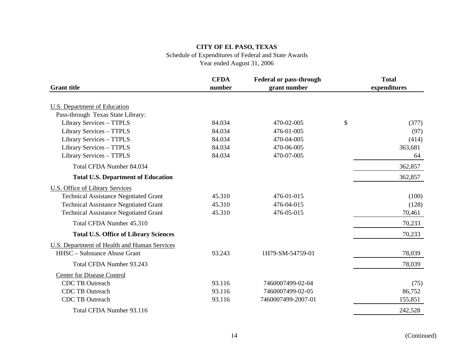# Schedule of Expenditures of Federal and State Awards

| <b>Grant title</b>                                  | <b>CFDA</b><br>number | <b>Federal or pass-through</b><br>grant number | <b>Total</b><br>expenditures |
|-----------------------------------------------------|-----------------------|------------------------------------------------|------------------------------|
|                                                     |                       |                                                |                              |
| U.S. Department of Education                        |                       |                                                |                              |
| Pass-through Texas State Library:                   |                       |                                                |                              |
| Library Services - TTPLS                            | 84.034                | 470-02-005                                     | \$<br>(377)                  |
| Library Services - TTPLS                            | 84.034                | 476-01-005                                     | (97)                         |
| Library Services - TTPLS                            | 84.034                | 470-04-005                                     | (414)                        |
| Library Services - TTPLS                            | 84.034                | 470-06-005                                     | 363,681                      |
| Library Services - TTPLS                            | 84.034                | 470-07-005                                     | 64                           |
| Total CFDA Number 84.034                            |                       |                                                | 362,857                      |
| <b>Total U.S. Department of Education</b>           |                       |                                                | 362,857                      |
| <b>U.S. Office of Library Services</b>              |                       |                                                |                              |
| <b>Technical Assistance Negotiated Grant</b>        | 45.310                | 476-01-015                                     | (100)                        |
| <b>Technical Assistance Negotiated Grant</b>        | 45.310                | 476-04-015                                     | (128)                        |
| <b>Technical Assistance Negotiated Grant</b>        | 45.310                | 476-05-015                                     | 70,461                       |
| Total CFDA Number 45.310                            |                       |                                                | 70,233                       |
| <b>Total U.S. Office of Library Sciences</b>        |                       |                                                | 70,233                       |
| <b>U.S. Department of Health and Human Services</b> |                       |                                                |                              |
| HHSC - Substance Abuse Grant                        | 93.243                | 1H79-SM-54759-01                               | 78,039                       |
| Total CFDA Number 93.243                            |                       |                                                | 78,039                       |
| <b>Center for Disease Control</b>                   |                       |                                                |                              |
| <b>CDC TB Outreach</b>                              | 93.116                | 7460007499-02-04                               | (75)                         |
| <b>CDC TB Outreach</b>                              | 93.116                | 7460007499-02-05                               | 86,752                       |
| <b>CDC TB Outreach</b>                              | 93.116                | 7460007499-2007-01                             | 155,851                      |
| Total CFDA Number 93.116                            |                       |                                                | 242,528                      |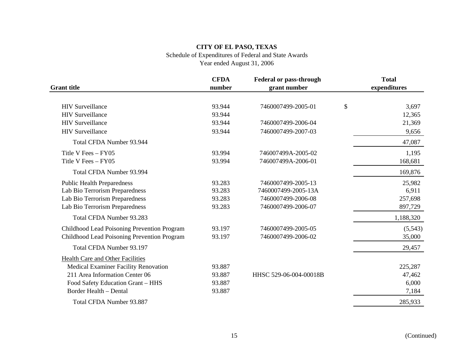# Schedule of Expenditures of Federal and State Awards

| <b>Grant title</b>                          | <b>CFDA</b><br>number | <b>Federal or pass-through</b><br>grant number | <b>Total</b><br>expenditures |
|---------------------------------------------|-----------------------|------------------------------------------------|------------------------------|
|                                             |                       |                                                |                              |
| <b>HIV Surveillance</b>                     | 93.944                | 7460007499-2005-01                             | \$<br>3,697                  |
| <b>HIV Surveillance</b>                     | 93.944                |                                                | 12,365                       |
| <b>HIV Surveillance</b>                     | 93.944                | 7460007499-2006-04                             | 21,369                       |
| <b>HIV Surveillance</b>                     | 93.944                | 7460007499-2007-03                             | 9,656                        |
| Total CFDA Number 93.944                    |                       |                                                | 47,087                       |
| Title V Fees - FY05                         | 93.994                | 746007499A-2005-02                             | 1,195                        |
| Title V Fees - FY05                         | 93.994                | 746007499A-2006-01                             | 168,681                      |
| Total CFDA Number 93.994                    |                       |                                                | 169,876                      |
| <b>Public Health Preparedness</b>           | 93.283                | 7460007499-2005-13                             | 25,982                       |
| Lab Bio Terrorism Preparedness              | 93.283                | 7460007499-2005-13A                            | 6,911                        |
| Lab Bio Terrorism Preparedness              | 93.283                | 7460007499-2006-08                             | 257,698                      |
| Lab Bio Terrorism Preparedness              | 93.283                | 7460007499-2006-07                             | 897,729                      |
| Total CFDA Number 93.283                    |                       |                                                | 1,188,320                    |
| Childhood Lead Poisoning Prevention Program | 93.197                | 7460007499-2005-05                             | (5, 543)                     |
| Childhood Lead Poisoning Prevention Program | 93.197                | 7460007499-2006-02                             | 35,000                       |
| Total CFDA Number 93.197                    |                       |                                                | 29,457                       |
| Health Care and Other Facilities            |                       |                                                |                              |
| Medical Examiner Facility Renovation        | 93.887                |                                                | 225,287                      |
| 211 Area Information Center 06              | 93.887                | HHSC 529-06-004-00018B                         | 47,462                       |
| Food Safety Education Grant - HHS           | 93.887                |                                                | 6,000                        |
| Border Health - Dental                      | 93.887                |                                                | 7,184                        |
| Total CFDA Number 93.887                    |                       |                                                | 285,933                      |
|                                             |                       |                                                |                              |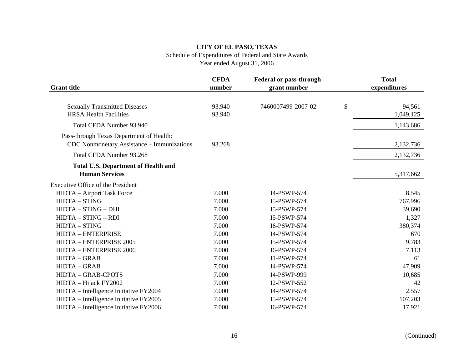# Schedule of Expenditures of Federal and State Awards

|                                                                                        | <b>CFDA</b>      | <b>Federal or pass-through</b> | <b>Total</b>              |
|----------------------------------------------------------------------------------------|------------------|--------------------------------|---------------------------|
| <b>Grant title</b>                                                                     | number           | grant number                   | expenditures              |
| <b>Sexually Transmitted Diseases</b><br><b>HRSA Health Facilities</b>                  | 93.940<br>93.940 | 7460007499-2007-02             | \$<br>94,561<br>1,049,125 |
| Total CFDA Number 93.940                                                               |                  |                                | 1,143,686                 |
| Pass-through Texas Department of Health:<br>CDC Nonmonetary Assistance - Immunizations | 93.268           |                                | 2,132,736                 |
| Total CFDA Number 93.268                                                               |                  |                                | 2,132,736                 |
| <b>Total U.S. Department of Health and</b><br><b>Human Services</b>                    |                  |                                | 5,317,662                 |
| <b>Executive Office of the President</b>                                               |                  |                                |                           |
| HIDTA - Airport Task Force                                                             | 7.000            | I4-PSWP-574                    | 8,545                     |
| HIDTA - STING                                                                          | 7.000            | I5-PSWP-574                    | 767,996                   |
| HIDTA - STING - DHI                                                                    | 7.000            | I5-PSWP-574                    | 39,690                    |
| HIDTA - STING - RDI                                                                    | 7.000            | I5-PSWP-574                    | 1,327                     |
| HIDTA - STING                                                                          | 7.000            | I6-PSWP-574                    | 380,374                   |
| HIDTA - ENTERPRISE                                                                     | 7.000            | I4-PSWP-574                    | 670                       |
| HIDTA - ENTERPRISE 2005                                                                | 7.000            | I5-PSWP-574                    | 9,783                     |
| HIDTA - ENTERPRISE 2006                                                                | 7.000            | I6-PSWP-574                    | 7,113                     |
| <b>HIDTA-GRAB</b>                                                                      | 7.000            | I1-PSWP-574                    | 61                        |
| HIDTA - GRAB                                                                           | 7.000            | I4-PSWP-574                    | 47,909                    |
| HIDTA - GRAB-CPOTS                                                                     | 7.000            | I4-PSWP-999                    | 10,685                    |
| HIDTA - Hijack FY2002                                                                  | 7.000            | I2-PSWP-552                    | 42                        |
| HIDTA – Intelligence Initiative FY2004                                                 | 7.000            | I4-PSWP-574                    | 2,557                     |
| HIDTA - Intelligence Initiative FY2005                                                 | 7.000            | I5-PSWP-574                    | 107,203                   |
| HIDTA - Intelligence Initiative FY2006                                                 | 7.000            | I6-PSWP-574                    | 17,921                    |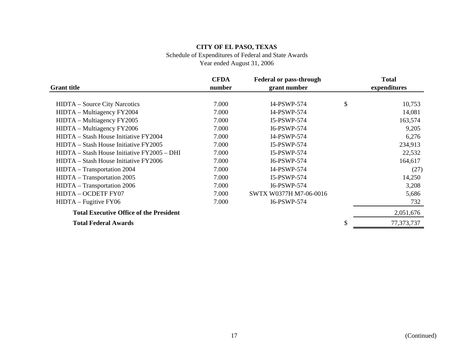Schedule of Expenditures of Federal and State Awards

|                                                | <b>CFDA</b> | <b>Federal or pass-through</b> | <b>Total</b> |
|------------------------------------------------|-------------|--------------------------------|--------------|
| <b>Grant title</b>                             | number      | grant number                   | expenditures |
|                                                |             |                                |              |
| <b>HIDTA</b> – Source City Narcotics           | 7.000       | I4-PSWP-574                    | \$<br>10,753 |
| HIDTA – Multiagency FY2004                     | 7.000       | I4-PSWP-574                    | 14,081       |
| HIDTA - Multiagency FY2005                     | 7.000       | I5-PSWP-574                    | 163,574      |
| HIDTA – Multiagency FY2006                     | 7.000       | I6-PSWP-574                    | 9,205        |
| HIDTA – Stash House Initiative FY2004          | 7.000       | I4-PSWP-574                    | 6,276        |
| HIDTA – Stash House Initiative FY2005          | 7.000       | I5-PSWP-574                    | 234,913      |
| HIDTA – Stash House Initiative FY2005 – DHI    | 7.000       | I5-PSWP-574                    | 22,532       |
| HIDTA – Stash House Initiative FY2006          | 7.000       | I6-PSWP-574                    | 164,617      |
| HIDTA - Transportation 2004                    | 7.000       | I4-PSWP-574                    | (27)         |
| HIDTA - Transportation 2005                    | 7.000       | I5-PSWP-574                    | 14,250       |
| HIDTA - Transportation 2006                    | 7.000       | I6-PSWP-574                    | 3,208        |
| HIDTA - OCDETF FY07                            | 7.000       | SWTX W0377H M7-06-0016         | 5,686        |
| $HIDTA - Fugitive FY06$                        | 7.000       | I6-PSWP-574                    | 732          |
| <b>Total Executive Office of the President</b> |             |                                | 2,051,676    |
| <b>Total Federal Awards</b>                    |             |                                | 77,373,737   |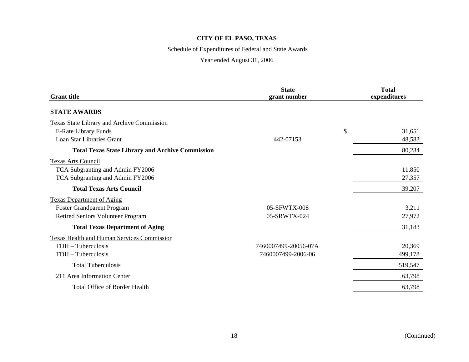# Schedule of Expenditures of Federal and State Awards

| <b>Grant title</b>                                      | <b>State</b><br>grant number | <b>Total</b><br>expenditures |
|---------------------------------------------------------|------------------------------|------------------------------|
| <b>STATE AWARDS</b>                                     |                              |                              |
| <b>Texas State Library and Archive Commission</b>       |                              |                              |
| <b>E-Rate Library Funds</b>                             |                              | \$<br>31,651                 |
| Loan Star Libraries Grant                               | 442-07153                    | 48,583                       |
| <b>Total Texas State Library and Archive Commission</b> |                              | 80,234                       |
| <b>Texas Arts Council</b>                               |                              |                              |
| TCA Subgranting and Admin FY2006                        |                              | 11,850                       |
| TCA Subgranting and Admin FY2006                        |                              | 27,357                       |
| <b>Total Texas Arts Council</b>                         |                              | 39,207                       |
| <b>Texas Department of Aging</b>                        |                              |                              |
| Foster Grandparent Program                              | 05-SFWTX-008                 | 3,211                        |
| Retired Seniors Volunteer Program                       | 05-SRWTX-024                 | 27,972                       |
| <b>Total Texas Department of Aging</b>                  |                              | 31,183                       |
| Texas Health and Human Services Commission              |                              |                              |
| TDH - Tuberculosis                                      | 7460007499-20056-07A         | 20,369                       |
| TDH - Tuberculosis                                      | 7460007499-2006-06           | 499,178                      |
| <b>Total Tuberculosis</b>                               |                              | 519,547                      |
| 211 Area Information Center                             |                              | 63,798                       |
| Total Office of Border Health                           |                              | 63,798                       |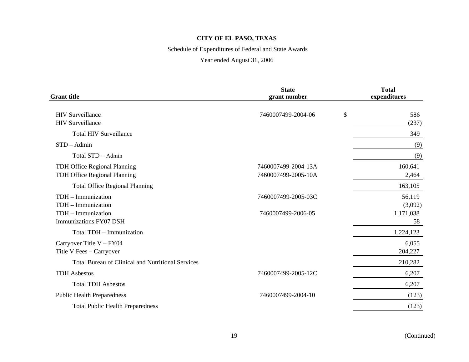# Schedule of Expenditures of Federal and State Awards

| <b>Grant title</b>                                           | <b>State</b><br>grant number               | <b>Total</b><br>expenditures |
|--------------------------------------------------------------|--------------------------------------------|------------------------------|
| <b>HIV</b> Surveillance                                      | 7460007499-2004-06                         | \$<br>586                    |
| <b>HIV</b> Surveillance                                      |                                            | (237)                        |
| <b>Total HIV Surveillance</b>                                |                                            | 349                          |
| $STD - Admin$                                                |                                            | (9)                          |
| Total STD - Admin                                            |                                            | (9)                          |
| TDH Office Regional Planning<br>TDH Office Regional Planning | 7460007499-2004-13A<br>7460007499-2005-10A | 160,641<br>2,464             |
| <b>Total Office Regional Planning</b>                        |                                            | 163,105                      |
| $TDH - Immunization$<br>TDH - Immunization                   | 7460007499-2005-03C                        | 56,119<br>(3,092)            |
| TDH - Immunization<br>Immunizations FY07 DSH                 | 7460007499-2006-05                         | 1,171,038<br>58              |
| Total TDH - Immunization                                     |                                            | 1,224,123                    |
| Carryover Title V - FY04<br>Title V Fees - Carryover         |                                            | 6,055<br>204,227             |
| <b>Total Bureau of Clinical and Nutritional Services</b>     |                                            | 210,282                      |
| <b>TDH</b> Asbestos                                          | 7460007499-2005-12C                        | 6,207                        |
| <b>Total TDH Asbestos</b>                                    |                                            | 6,207                        |
| <b>Public Health Preparedness</b>                            | 7460007499-2004-10                         | (123)                        |
| <b>Total Public Health Preparedness</b>                      |                                            | (123)                        |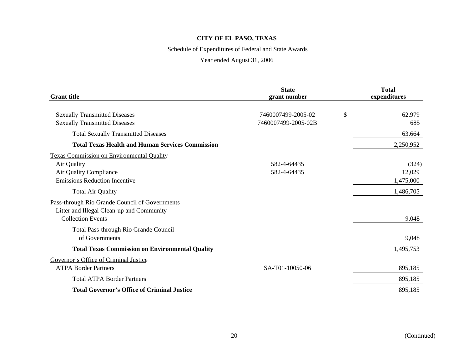# Schedule of Expenditures of Federal and State Awards

| <b>Grant title</b>                                      | <b>State</b><br>grant number | <b>Total</b><br>expenditures |
|---------------------------------------------------------|------------------------------|------------------------------|
|                                                         |                              |                              |
| <b>Sexually Transmitted Diseases</b>                    | 7460007499-2005-02           | \$<br>62,979                 |
| <b>Sexually Transmitted Diseases</b>                    | 7460007499-2005-02B          | 685                          |
| <b>Total Sexually Transmitted Diseases</b>              |                              | 63,664                       |
| <b>Total Texas Health and Human Services Commission</b> |                              | 2,250,952                    |
| <b>Texas Commission on Environmental Quality</b>        |                              |                              |
| Air Quality                                             | 582-4-64435                  | (324)                        |
| Air Quality Compliance                                  | 582-4-64435                  | 12,029                       |
| <b>Emissions Reduction Incentive</b>                    |                              | 1,475,000                    |
| <b>Total Air Quality</b>                                |                              | 1,486,705                    |
| Pass-through Rio Grande Council of Governments          |                              |                              |
| Litter and Illegal Clean-up and Community               |                              |                              |
| <b>Collection Events</b>                                |                              | 9,048                        |
| Total Pass-through Rio Grande Council                   |                              |                              |
| of Governments                                          |                              | 9,048                        |
| <b>Total Texas Commission on Environmental Quality</b>  |                              | 1,495,753                    |
| Governor's Office of Criminal Justice                   |                              |                              |
| <b>ATPA Border Partners</b>                             | SA-T01-10050-06              | 895,185                      |
| <b>Total ATPA Border Partners</b>                       |                              | 895,185                      |
| <b>Total Governor's Office of Criminal Justice</b>      |                              | 895,185                      |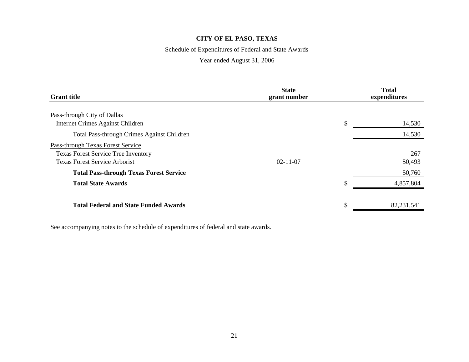# Schedule of Expenditures of Federal and State Awards

# Year ended August 31, 2006

| <b>Grant title</b>                                                                                                      | <b>State</b><br>grant number |     | <b>Total</b><br>expenditures |
|-------------------------------------------------------------------------------------------------------------------------|------------------------------|-----|------------------------------|
| Pass-through City of Dallas<br>Internet Crimes Against Children<br><b>Total Pass-through Crimes Against Children</b>    |                              | \$  | 14,530<br>14,530             |
| Pass-through Texas Forest Service<br><b>Texas Forest Service Tree Inventory</b><br><b>Texas Forest Service Arborist</b> | $02 - 11 - 07$               |     | 267<br>50,493                |
| <b>Total Pass-through Texas Forest Service</b>                                                                          |                              |     | 50,760                       |
| <b>Total State Awards</b>                                                                                               |                              | \$. | 4,857,804                    |
| <b>Total Federal and State Funded Awards</b>                                                                            |                              |     | 82,231,541                   |

See accompanying notes to the schedule of expenditures of federal and state awards.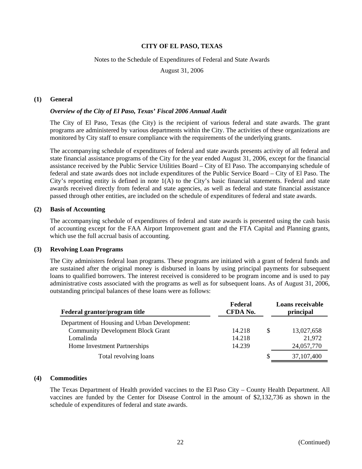#### Notes to the Schedule of Expenditures of Federal and State Awards

August 31, 2006

#### **(1) General**

#### *Overview of the City of El Paso, Texas' Fiscal 2006 Annual Audit*

The City of El Paso, Texas (the City) is the recipient of various federal and state awards. The grant programs are administered by various departments within the City. The activities of these organizations are monitored by City staff to ensure compliance with the requirements of the underlying grants.

The accompanying schedule of expenditures of federal and state awards presents activity of all federal and state financial assistance programs of the City for the year ended August 31, 2006, except for the financial assistance received by the Public Service Utilities Board – City of El Paso. The accompanying schedule of federal and state awards does not include expenditures of the Public Service Board – City of El Paso. The City's reporting entity is defined in note 1(A) to the City's basic financial statements. Federal and state awards received directly from federal and state agencies, as well as federal and state financial assistance passed through other entities, are included on the schedule of expenditures of federal and state awards.

#### **(2) Basis of Accounting**

The accompanying schedule of expenditures of federal and state awards is presented using the cash basis of accounting except for the FAA Airport Improvement grant and the FTA Capital and Planning grants, which use the full accrual basis of accounting.

### **(3) Revolving Loan Programs**

The City administers federal loan programs. These programs are initiated with a grant of federal funds and are sustained after the original money is disbursed in loans by using principal payments for subsequent loans to qualified borrowers. The interest received is considered to be program income and is used to pay administrative costs associated with the programs as well as for subsequent loans. As of August 31, 2006, outstanding principal balances of these loans were as follows:

| Federal grantor/program title                | Federal<br>CFDA No. |     | Loans receivable<br>principal |
|----------------------------------------------|---------------------|-----|-------------------------------|
| Department of Housing and Urban Development: |                     |     |                               |
| <b>Community Development Block Grant</b>     | 14.218              | \$. | 13,027,658                    |
| Lomalinda                                    | 14.218              |     | 21,972                        |
| Home Investment Partnerships                 | 14.239              |     | 24,057,770                    |
| Total revolving loans                        |                     | S   | 37,107,400                    |

#### **(4) Commodities**

The Texas Department of Health provided vaccines to the El Paso City – County Health Department. All vaccines are funded by the Center for Disease Control in the amount of \$2,132,736 as shown in the schedule of expenditures of federal and state awards.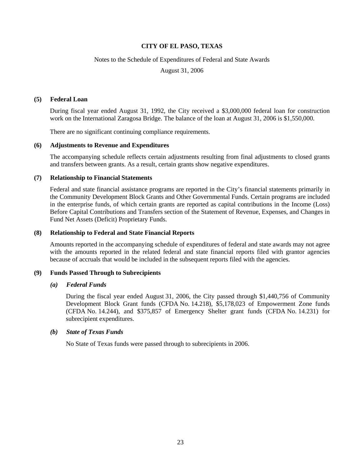#### Notes to the Schedule of Expenditures of Federal and State Awards

August 31, 2006

#### **(5) Federal Loan**

During fiscal year ended August 31, 1992, the City received a \$3,000,000 federal loan for construction work on the International Zaragosa Bridge. The balance of the loan at August 31, 2006 is \$1,550,000.

There are no significant continuing compliance requirements.

#### **(6) Adjustments to Revenue and Expenditures**

The accompanying schedule reflects certain adjustments resulting from final adjustments to closed grants and transfers between grants. As a result, certain grants show negative expenditures.

#### **(7) Relationship to Financial Statements**

Federal and state financial assistance programs are reported in the City's financial statements primarily in the Community Development Block Grants and Other Governmental Funds. Certain programs are included in the enterprise funds, of which certain grants are reported as capital contributions in the Income (Loss) Before Capital Contributions and Transfers section of the Statement of Revenue, Expenses, and Changes in Fund Net Assets (Deficit) Proprietary Funds.

#### **(8) Relationship to Federal and State Financial Reports**

Amounts reported in the accompanying schedule of expenditures of federal and state awards may not agree with the amounts reported in the related federal and state financial reports filed with grantor agencies because of accruals that would be included in the subsequent reports filed with the agencies.

#### **(9) Funds Passed Through to Subrecipients**

#### *(a) Federal Funds*

During the fiscal year ended August 31, 2006, the City passed through \$1,440,756 of Community Development Block Grant funds (CFDA No. 14.218), \$5,178,023 of Empowerment Zone funds (CFDA No. 14.244), and \$375,857 of Emergency Shelter grant funds (CFDA No. 14.231) for subrecipient expenditures.

#### *(b) State of Texas Funds*

No State of Texas funds were passed through to subrecipients in 2006.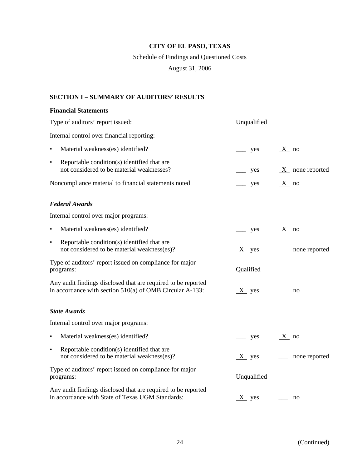# Schedule of Findings and Questioned Costs

August 31, 2006

# **SECTION I – SUMMARY OF AUDITORS' RESULTS**

### **Financial Statements**

| Type of auditors' report issued:                                                                                            | Unqualified |                   |
|-----------------------------------------------------------------------------------------------------------------------------|-------------|-------------------|
| Internal control over financial reporting:                                                                                  |             |                   |
| Material weakness(es) identified?                                                                                           | yes         | $X$ no            |
| Reportable condition(s) identified that are<br>$\bullet$<br>not considered to be material weaknesses?                       | yes         | $X$ none reported |
| Noncompliance material to financial statements noted                                                                        | yes         | $X$ no            |
| <b>Federal Awards</b>                                                                                                       |             |                   |
| Internal control over major programs:                                                                                       |             |                   |
| Material weakness(es) identified?<br>$\bullet$                                                                              | yes         | $X$ no            |
| Reportable condition(s) identified that are<br>$\bullet$<br>not considered to be material weakness(es)?                     | $X$ yes     | none reported     |
| Type of auditors' report issued on compliance for major<br>programs:                                                        | Qualified   |                   |
| Any audit findings disclosed that are required to be reported<br>in accordance with section $510(a)$ of OMB Circular A-133: | $X$ yes     | no                |
| <b>State Awards</b>                                                                                                         |             |                   |
| Internal control over major programs:                                                                                       |             |                   |
| Material weakness(es) identified?<br>٠                                                                                      | yes         | $X$ no            |
| Reportable condition(s) identified that are<br>$\bullet$<br>not considered to be material weakness(es)?                     | $X$ yes     | none reported     |
| Type of auditors' report issued on compliance for major<br>programs:                                                        | Unqualified |                   |
| Any audit findings disclosed that are required to be reported<br>in accordance with State of Texas UGM Standards:           | $X$ yes     | no                |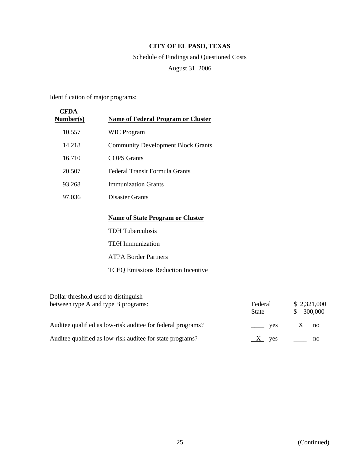# Schedule of Findings and Questioned Costs August 31, 2006

Identification of major programs:

| CFDA<br><b>Number(s)</b> | <b>Name of Federal Program or Cluster</b> |
|--------------------------|-------------------------------------------|
| 10.557                   | <b>WIC Program</b>                        |
| 14.218                   | <b>Community Development Block Grants</b> |
| 16.710                   | COPS Grants                               |
| 20.507                   | Federal Transit Formula Grants            |
| 93.268                   | <b>Immunization Grants</b>                |
| 97.036                   | Disaster Grants                           |
|                          |                                           |
|                          | <b>Name of State Program or Cluster</b>   |
|                          | <b>TDH Tuberculosis</b>                   |
|                          | TDH Immunization                          |
|                          | <b>ATPA Border Partners</b>               |

TCEQ Emissions Reduction Incentive

| Dollar threshold used to distinguish                        |                     |                               |
|-------------------------------------------------------------|---------------------|-------------------------------|
| between type A and type B programs:                         | Federal<br>State    | \$2,321,000<br>300,000<br>SS. |
| Auditee qualified as low-risk auditee for federal programs? | $\frac{\ }{\ }$ yes | $X$ no                        |
| Auditee qualified as low-risk auditee for state programs?   | yes                 | no                            |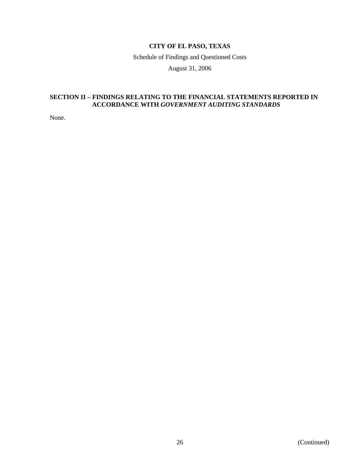Schedule of Findings and Questioned Costs

August 31, 2006

### **SECTION II – FINDINGS RELATING TO THE FINANCIAL STATEMENTS REPORTED IN ACCORDANCE WITH** *GOVERNMENT AUDITING STANDARDS*

None.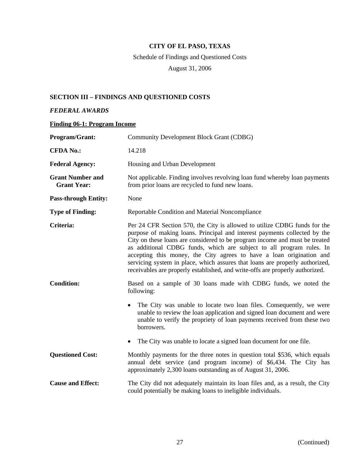# Schedule of Findings and Questioned Costs

August 31, 2006

# **SECTION III – FINDINGS AND QUESTIONED COSTS**

# *FEDERAL AWARDS*

### **Finding 06-1: Program Income**

| <b>Program/Grant:</b>                         | <b>Community Development Block Grant (CDBG)</b>                                                                                                                                                                                                                                                                                                                                                                                                                                                                                                        |
|-----------------------------------------------|--------------------------------------------------------------------------------------------------------------------------------------------------------------------------------------------------------------------------------------------------------------------------------------------------------------------------------------------------------------------------------------------------------------------------------------------------------------------------------------------------------------------------------------------------------|
| <b>CFDA No.:</b>                              | 14.218                                                                                                                                                                                                                                                                                                                                                                                                                                                                                                                                                 |
| <b>Federal Agency:</b>                        | Housing and Urban Development                                                                                                                                                                                                                                                                                                                                                                                                                                                                                                                          |
| <b>Grant Number and</b><br><b>Grant Year:</b> | Not applicable. Finding involves revolving loan fund whereby loan payments<br>from prior loans are recycled to fund new loans.                                                                                                                                                                                                                                                                                                                                                                                                                         |
| <b>Pass-through Entity:</b>                   | None                                                                                                                                                                                                                                                                                                                                                                                                                                                                                                                                                   |
| <b>Type of Finding:</b>                       | Reportable Condition and Material Noncompliance                                                                                                                                                                                                                                                                                                                                                                                                                                                                                                        |
| Criteria:                                     | Per 24 CFR Section 570, the City is allowed to utilize CDBG funds for the<br>purpose of making loans. Principal and interest payments collected by the<br>City on these loans are considered to be program income and must be treated<br>as additional CDBG funds, which are subject to all program rules. In<br>accepting this money, the City agrees to have a loan origination and<br>servicing system in place, which assures that loans are properly authorized,<br>receivables are properly established, and write-offs are properly authorized. |
| <b>Condition:</b>                             | Based on a sample of 30 loans made with CDBG funds, we noted the<br>following:                                                                                                                                                                                                                                                                                                                                                                                                                                                                         |
|                                               | The City was unable to locate two loan files. Consequently, we were<br>unable to review the loan application and signed loan document and were<br>unable to verify the propriety of loan payments received from these two<br>borrowers.                                                                                                                                                                                                                                                                                                                |
|                                               | The City was unable to locate a signed loan document for one file.<br>$\bullet$                                                                                                                                                                                                                                                                                                                                                                                                                                                                        |
| <b>Questioned Cost:</b>                       | Monthly payments for the three notes in question total \$536, which equals<br>annual debt service (and program income) of \$6,434. The City has<br>approximately 2,300 loans outstanding as of August 31, 2006.                                                                                                                                                                                                                                                                                                                                        |
| <b>Cause and Effect:</b>                      | The City did not adequately maintain its loan files and, as a result, the City<br>could potentially be making loans to ineligible individuals.                                                                                                                                                                                                                                                                                                                                                                                                         |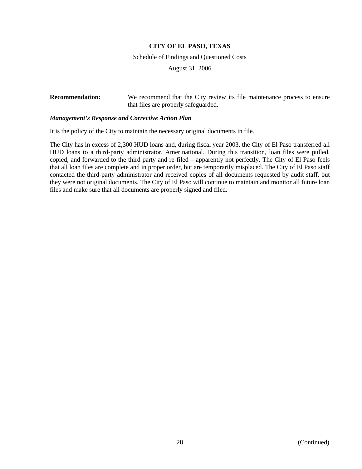Schedule of Findings and Questioned Costs

August 31, 2006

**Recommendation:** We recommend that the City review its file maintenance process to ensure that files are properly safeguarded.

#### *Management's Response and Corrective Action Plan*

It is the policy of the City to maintain the necessary original documents in file.

The City has in excess of 2,300 HUD loans and, during fiscal year 2003, the City of El Paso transferred all HUD loans to a third-party administrator, Amerinational. During this transition, loan files were pulled, copied, and forwarded to the third party and re-filed – apparently not perfectly. The City of El Paso feels that all loan files are complete and in proper order, but are temporarily misplaced. The City of El Paso staff contacted the third-party administrator and received copies of all documents requested by audit staff, but they were not original documents. The City of El Paso will continue to maintain and monitor all future loan files and make sure that all documents are properly signed and filed.